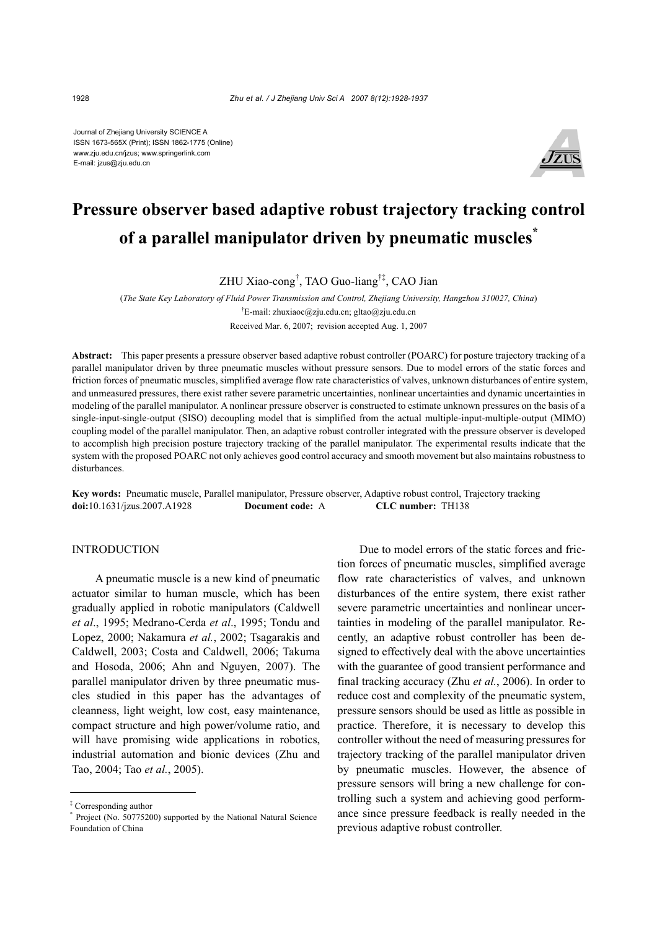Journal of Zhejiang University SCIENCE A ISSN 1673-565X (Print); ISSN 1862-1775 (Online) www.zju.edu.cn/jzus; www.springerlink.com E-mail: jzus@zju.edu.cn



# **Pressure observer based adaptive robust trajectory tracking control of a parallel manipulator driven by pneumatic muscles\***

ZHU Xiao-cong† , TAO Guo-liang†‡, CAO Jian

(*The State Key Laboratory of Fluid Power Transmission and Control, Zhejiang University, Hangzhou 310027, China*) † E-mail: zhuxiaoc@zju.edu.cn; gltao@zju.edu.cn Received Mar. 6, 2007; revision accepted Aug. 1, 2007

**Abstract:** This paper presents a pressure observer based adaptive robust controller (POARC) for posture trajectory tracking of a parallel manipulator driven by three pneumatic muscles without pressure sensors. Due to model errors of the static forces and friction forces of pneumatic muscles, simplified average flow rate characteristics of valves, unknown disturbances of entire system, and unmeasured pressures, there exist rather severe parametric uncertainties, nonlinear uncertainties and dynamic uncertainties in modeling of the parallel manipulator. A nonlinear pressure observer is constructed to estimate unknown pressures on the basis of a single-input-single-output (SISO) decoupling model that is simplified from the actual multiple-input-multiple-output (MIMO) coupling model of the parallel manipulator. Then, an adaptive robust controller integrated with the pressure observer is developed to accomplish high precision posture trajectory tracking of the parallel manipulator. The experimental results indicate that the system with the proposed POARC not only achieves good control accuracy and smooth movement but also maintains robustness to disturbances.

**Key words:** Pneumatic muscle, Parallel manipulator, Pressure observer, Adaptive robust control, Trajectory tracking **doi:**10.1631/jzus.2007.A1928 **Document code:** A **CLC number:** TH138

# INTRODUCTION

A pneumatic muscle is a new kind of pneumatic actuator similar to human muscle, which has been gradually applied in robotic manipulators (Caldwell *et al*., 1995; Medrano-Cerda *et al*., 1995; Tondu and Lopez, 2000; Nakamura *et al.*, 2002; Tsagarakis and Caldwell, 2003; Costa and Caldwell, 2006; Takuma and Hosoda, 2006; Ahn and Nguyen, 2007). The parallel manipulator driven by three pneumatic muscles studied in this paper has the advantages of cleanness, light weight, low cost, easy maintenance, compact structure and high power/volume ratio, and will have promising wide applications in robotics, industrial automation and bionic devices (Zhu and Tao, 2004; Tao *et al.*, 2005).

Due to model errors of the static forces and friction forces of pneumatic muscles, simplified average flow rate characteristics of valves, and unknown disturbances of the entire system, there exist rather severe parametric uncertainties and nonlinear uncertainties in modeling of the parallel manipulator. Recently, an adaptive robust controller has been designed to effectively deal with the above uncertainties with the guarantee of good transient performance and final tracking accuracy (Zhu *et al.*, 2006). In order to reduce cost and complexity of the pneumatic system, pressure sensors should be used as little as possible in practice. Therefore, it is necessary to develop this controller without the need of measuring pressures for trajectory tracking of the parallel manipulator driven by pneumatic muscles. However, the absence of pressure sensors will bring a new challenge for controlling such a system and achieving good performance since pressure feedback is really needed in the previous adaptive robust controller.

<sup>‡</sup> Corresponding author

<sup>\*</sup> Project (No. 50775200) supported by the National Natural Science Foundation of China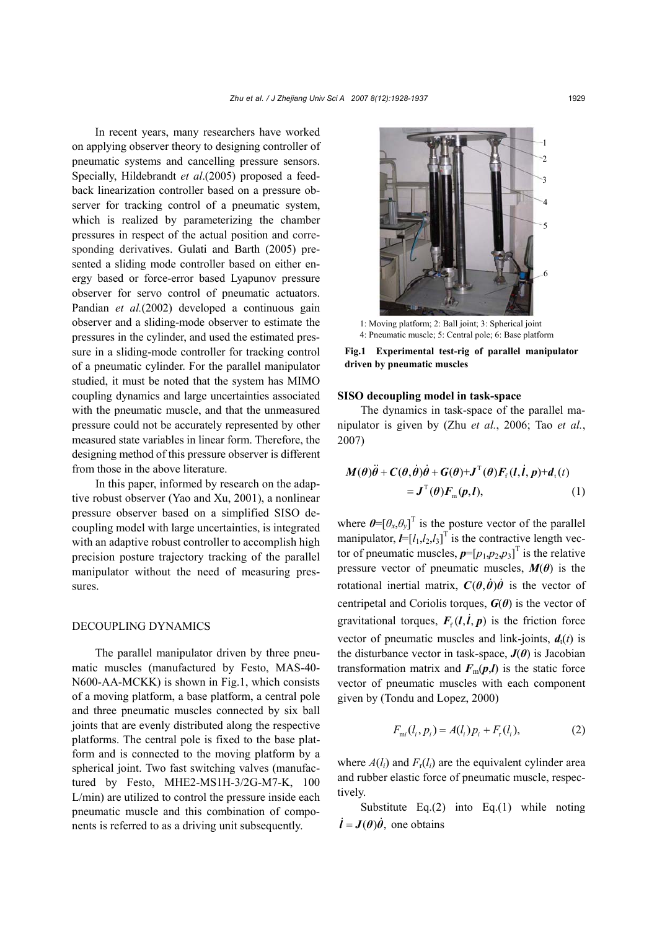In recent years, many researchers have worked on applying observer theory to designing controller of pneumatic systems and cancelling pressure sensors. Specially, Hildebrandt *et al*.(2005) proposed a feedback linearization controller based on a pressure observer for tracking control of a pneumatic system, which is realized by parameterizing the chamber pressures in respect of the actual position and corresponding derivatives. Gulati and Barth (2005) presented a sliding mode controller based on either energy based or force-error based Lyapunov pressure observer for servo control of pneumatic actuators. Pandian *et al.*(2002) developed a continuous gain observer and a sliding-mode observer to estimate the pressures in the cylinder, and used the estimated pressure in a sliding-mode controller for tracking control of a pneumatic cylinder. For the parallel manipulator studied, it must be noted that the system has MIMO coupling dynamics and large uncertainties associated with the pneumatic muscle, and that the unmeasured pressure could not be accurately represented by other measured state variables in linear form. Therefore, the designing method of this pressure observer is different from those in the above literature.

In this paper, informed by research on the adaptive robust observer (Yao and Xu, 2001), a nonlinear pressure observer based on a simplified SISO decoupling model with large uncertainties, is integrated with an adaptive robust controller to accomplish high precision posture trajectory tracking of the parallel manipulator without the need of measuring pressures.

## DECOUPLING DYNAMICS

The parallel manipulator driven by three pneumatic muscles (manufactured by Festo, MAS-40- N600-AA-MCKK) is shown in Fig.1, which consists of a moving platform, a base platform, a central pole and three pneumatic muscles connected by six ball joints that are evenly distributed along the respective platforms. The central pole is fixed to the base platform and is connected to the moving platform by a spherical joint. Two fast switching valves (manufactured by Festo, MHE2-MS1H-3/2G-M7-K, 100 L/min) are utilized to control the pressure inside each pneumatic muscle and this combination of components is referred to as a driving unit subsequently.



1: Moving platform; 2: Ball joint; 3: Spherical joint 4: Pneumatic muscle; 5: Central pole; 6: Base platform

**Fig.1 Experimental test-rig of parallel manipulator driven by pneumatic muscles** 

#### **SISO decoupling model in task-space**

The dynamics in task-space of the parallel manipulator is given by (Zhu *et al.*, 2006; Tao *et al.*, 2007)

$$
M(\theta)\ddot{\theta} + C(\theta, \dot{\theta})\dot{\theta} + G(\theta) + J^{T}(\theta)F_{f}(l, \dot{l}, p) + d_{t}(t)
$$
  
=  $J^{T}(\theta)F_{m}(p, l),$  (1)

where  $\boldsymbol{\theta} = [\theta_x, \theta_y]^T$  is the posture vector of the parallel manipulator,  $I = [l_1, l_2, l_3]^T$  is the contractive length vector of pneumatic muscles,  $p=[p_1,p_2,p_3]^T$  is the relative pressure vector of pneumatic muscles,  $M(\theta)$  is the rotational inertial matrix,  $C(\theta, \dot{\theta})\dot{\theta}$  is the vector of centripetal and Coriolis torques,  $G(\theta)$  is the vector of gravitational torques,  $F<sub>f</sub>(l, l, p)$  is the friction force vector of pneumatic muscles and link-joints,  $d<sub>t</sub>(t)$  is the disturbance vector in task-space,  $J(\theta)$  is Jacobian transformation matrix and  $F_m(p,l)$  is the static force vector of pneumatic muscles with each component given by (Tondu and Lopez, 2000)

$$
F_{mi}(l_i, p_i) = A(l_i)p_i + F_r(l_i),
$$
 (2)

where  $A(l_i)$  and  $F_r(l_i)$  are the equivalent cylinder area and rubber elastic force of pneumatic muscle, respectively.

Substitute Eq.(2) into Eq.(1) while noting  $\vec{l} = \vec{J}(\theta)\vec{\theta}$ , one obtains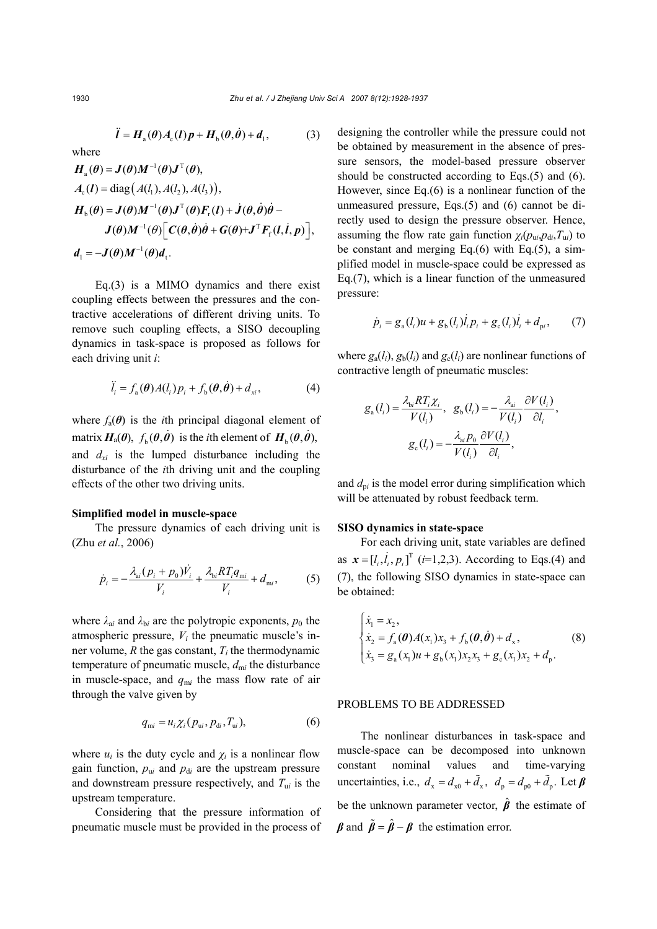$$
\ddot{l} = H_{\rm a}(\theta)A_{\rm c}(l)p + H_{\rm b}(\theta,\dot{\theta}) + d_{\rm l},\qquad(3)
$$

where  
\n
$$
H_a(\theta) = J(\theta)M^{-1}(\theta)J^T(\theta),
$$
\n
$$
A_c(I) = \text{diag}(A(I_1), A(I_2), A(I_3)),
$$
\n
$$
H_b(\theta) = J(\theta)M^{-1}(\theta)J^T(\theta)F_r(I) + J(\theta, \dot{\theta})\dot{\theta} - J(\theta)M^{-1}(\theta)\left[C(\theta, \dot{\theta})\dot{\theta} + G(\theta) + J^T F_r(I, \dot{I}, p)\right],
$$
\n
$$
d_1 = -J(\theta)M^{-1}(\theta)d_1.
$$

Eq.(3) is a MIMO dynamics and there exist coupling effects between the pressures and the contractive accelerations of different driving units. To remove such coupling effects, a SISO decoupling dynamics in task-space is proposed as follows for each driving unit *i*:

$$
\ddot{l}_i = f_a(\boldsymbol{\theta}) A(l_i) p_i + f_b(\boldsymbol{\theta}, \dot{\boldsymbol{\theta}}) + d_{xi}, \qquad (4)
$$

where  $f_a(\theta)$  is the *i*th principal diagonal element of matrix  $H_a(\theta)$ ,  $f_b(\theta, \dot{\theta})$  is the *i*th element of  $H_b(\theta, \dot{\theta})$ , and *dxi* is the lumped disturbance including the disturbance of the *i*th driving unit and the coupling effects of the other two driving units.

#### **Simplified model in muscle-space**

The pressure dynamics of each driving unit is (Zhu *et al.*, 2006)

$$
\dot{p}_i = -\frac{\lambda_{ai}(p_i + p_0)\dot{V}_i}{V_i} + \frac{\lambda_{bi}RT_iq_{mi}}{V_i} + d_{mi},
$$
 (5)

where  $\lambda_{ai}$  and  $\lambda_{bi}$  are the polytropic exponents,  $p_0$  the atmospheric pressure,  $V_i$  the pneumatic muscle's inner volume, *R* the gas constant, *Ti* the thermodynamic temperature of pneumatic muscle,  $d_{mi}$  the disturbance in muscle-space, and  $q_{mi}$  the mass flow rate of air through the valve given by

$$
q_{\rm mi} = u_i \chi_i(p_{\rm ui}, p_{\rm di}, T_{\rm ui}),\tag{6}
$$

where  $u_i$  is the duty cycle and  $\chi_i$  is a nonlinear flow gain function,  $p_{ui}$  and  $p_{di}$  are the upstream pressure and downstream pressure respectively, and  $T_{ui}$  is the upstream temperature.

Considering that the pressure information of pneumatic muscle must be provided in the process of designing the controller while the pressure could not be obtained by measurement in the absence of pressure sensors, the model-based pressure observer should be constructed according to Eqs.(5) and (6). However, since Eq.(6) is a nonlinear function of the unmeasured pressure, Eqs.(5) and (6) cannot be directly used to design the pressure observer. Hence, assuming the flow rate gain function  $\chi_i(p_{ui},p_{di},T_{ui})$  to be constant and merging Eq.(6) with Eq.(5), a simplified model in muscle-space could be expressed as Eq.(7), which is a linear function of the unmeasured pressure:

$$
\dot{p}_i = g_a(l_i)u + g_b(l_i)\dot{l}_i p_i + g_c(l_i)\dot{l}_i + d_{pi}, \qquad (7)
$$

where  $g_a(l_i)$ ,  $g_b(l_i)$  and  $g_c(l_i)$  are nonlinear functions of contractive length of pneumatic muscles:

$$
g_{a}(l_{i}) = \frac{\lambda_{bi}RT_{i}\chi_{i}}{V(l_{i})}, \quad g_{b}(l_{i}) = -\frac{\lambda_{ai}}{V(l_{i})}\frac{\partial V(l_{i})}{\partial l_{i}},
$$

$$
g_{c}(l_{i}) = -\frac{\lambda_{ai}p_{0}}{V(l_{i})}\frac{\partial V(l_{i})}{\partial l_{i}},
$$

and  $d_{\rm pi}$  is the model error during simplification which will be attenuated by robust feedback term.

## **SISO dynamics in state-space**

For each driving unit, state variables are defined as  $x = [l_i, l_i, p_i]^T$  (*i*=1,2,3). According to Eqs.(4) and (7), the following SISO dynamics in state-space can be obtained:

$$
\begin{cases} \n\dot{x}_1 = x_2, \\ \n\dot{x}_2 = f_a(\boldsymbol{\theta}) A(x_1) x_3 + f_b(\boldsymbol{\theta}, \dot{\boldsymbol{\theta}}) + d_x, \\ \n\dot{x}_3 = g_a(x_1) u + g_b(x_1) x_2 x_3 + g_c(x_1) x_2 + d_p. \n\end{cases} \tag{8}
$$

#### PROBLEMS TO BE ADDRESSED

The nonlinear disturbances in task-space and muscle-space can be decomposed into unknown constant nominal values and time-varying uncertainties, i.e.,  $d_x = d_{x0} + \tilde{d}_x$ ,  $d_p = d_{p0} + \tilde{d}_p$ . Let  $\beta$ be the unknown parameter vector,  $\hat{\boldsymbol{\beta}}$  the estimate of  $\beta$  and  $\tilde{\beta} = \hat{\beta} - \beta$  the estimation error.

1930 *Zhu et al. / J Zhejiang Univ Sci A 2007 8(12):1928-1937*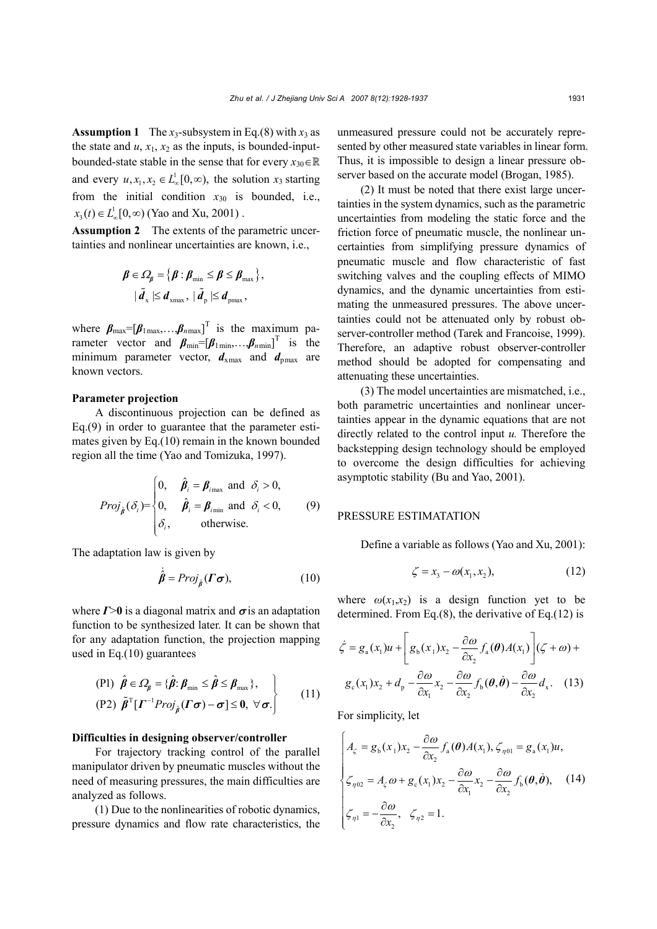**Assumption 1** The  $x_3$ -subsystem in Eq.(8) with  $x_3$  as the state and  $u$ ,  $x_1$ ,  $x_2$  as the inputs, is bounded-inputbounded-state stable in the sense that for every  $x_{30} \in \mathbb{R}$ and every  $u, x_1, x_2 \in L^1_{\infty}[0, \infty)$ , the solution  $x_3$  starting from the initial condition  $x_{30}$  is bounded, i.e.,  $x_3(t) \in L^1_{\infty}[0, \infty)$  (Yao and Xu, 2001).

**Assumption 2** The extents of the parametric uncertainties and nonlinear uncertainties are known, i.e.,

$$
\boldsymbol{\beta} \in \Omega_{\boldsymbol{\beta}} = \{ \boldsymbol{\beta} : \boldsymbol{\beta}_{\min} \leq \boldsymbol{\beta} \leq \boldsymbol{\beta}_{\max} \},
$$

$$
| \tilde{\boldsymbol{d}}_{\mathrm{x}} | \leq \boldsymbol{d}_{\mathrm{xmax}}, | \tilde{\boldsymbol{d}}_{\mathrm{p}} | \leq \boldsymbol{d}_{\mathrm{pmax}},
$$

where  $\beta_{\text{max}} = [\beta_{1\text{max}}, \dots, \beta_{n\text{max}}]^T$  is the maximum parameter vector and  $\boldsymbol{\beta}_{min} = [\boldsymbol{\beta}_{1min},...,\boldsymbol{\beta}_{nmin}]^T$  is the minimum parameter vector,  $d_{xmax}$  and  $d_{pmax}$  are known vectors.

#### **Parameter projection**

A discontinuous projection can be defined as Eq.(9) in order to guarantee that the parameter estimates given by Eq.(10) remain in the known bounded region all the time (Yao and Tomizuka, 1997).

$$
Proj_{\hat{\beta}}(\delta_i) = \begin{cases} 0, & \hat{\beta}_i = \beta_{i_{\text{max}}} \text{ and } \delta_i > 0, \\ 0, & \hat{\beta}_i = \beta_{i_{\text{min}}} \text{ and } \delta_i < 0, \\ \delta_i, & \text{otherwise.} \end{cases}
$$
(9)

The adaptation law is given by

$$
\dot{\hat{\beta}} = Proj_{\hat{\beta}}(\Gamma \sigma), \qquad (10)
$$

where  $\Gamma > 0$  is a diagonal matrix and  $\sigma$  is an adaptation function to be synthesized later. It can be shown that for any adaptation function, the projection mapping used in Eq.(10) guarantees

$$
\begin{aligned}\n\text{(P1)} \ \ \hat{\beta} &\in \varOmega_{\beta} = \{\hat{\beta} : \beta_{\min} \leq \hat{\beta} \leq \beta_{\max} \}, \\
\text{(P2)} \ \ \tilde{\beta}^{\mathrm{T}} [\boldsymbol{\varGamma}^{-1} \boldsymbol{Proj}_{\hat{\beta}} (\boldsymbol{\varGamma} \boldsymbol{\sigma}) - \boldsymbol{\sigma}] &\leq 0, \ \forall \boldsymbol{\sigma}. \n\end{aligned} \tag{11}
$$

#### **Difficulties in designing observer/controller**

For trajectory tracking control of the parallel manipulator driven by pneumatic muscles without the need of measuring pressures, the main difficulties are analyzed as follows.

(1) Due to the nonlinearities of robotic dynamics, pressure dynamics and flow rate characteristics, the unmeasured pressure could not be accurately represented by other measured state variables in linear form. Thus, it is impossible to design a linear pressure observer based on the accurate model (Brogan, 1985).

(2) It must be noted that there exist large uncertainties in the system dynamics, such as the parametric uncertainties from modeling the static force and the friction force of pneumatic muscle, the nonlinear uncertainties from simplifying pressure dynamics of pneumatic muscle and flow characteristic of fast switching valves and the coupling effects of MIMO dynamics, and the dynamic uncertainties from estimating the unmeasured pressures. The above uncertainties could not be attenuated only by robust observer-controller method (Tarek and Francoise, 1999). Therefore, an adaptive robust observer-controller method should be adopted for compensating and attenuating these uncertainties.

(3) The model uncertainties are mismatched, i.e., both parametric uncertainties and nonlinear uncertainties appear in the dynamic equations that are not directly related to the control input *u.* Therefore the backstepping design technology should be employed to overcome the design difficulties for achieving asymptotic stability (Bu and Yao, 2001).

# PRESSURE ESTIMATATION

Define a variable as follows (Yao and Xu, 2001):

$$
\zeta = x_3 - \omega(x_1, x_2),\tag{12}
$$

where  $\omega(x_1, x_2)$  is a design function yet to be determined. From Eq.(8), the derivative of Eq.(12) is

$$
\dot{\zeta} = g_{a}(x_{1})u + \left[g_{b}(x_{1})x_{2} - \frac{\partial \omega}{\partial x_{2}} f_{a}(\theta)A(x_{1})\right](\zeta + \omega) + g_{c}(x_{1})x_{2} + d_{p} - \frac{\partial \omega}{\partial x_{1}}x_{2} - \frac{\partial \omega}{\partial x_{2}} f_{b}(\theta, \dot{\theta}) - \frac{\partial \omega}{\partial x_{2}} d_{x}. \quad (13)
$$

For simplicity, let

$$
\begin{cases}\nA_{\zeta} = g_{\mathfrak{b}}(x_1)x_2 - \frac{\partial \omega}{\partial x_2} f_{\mathfrak{a}}(\theta) A(x_1), \zeta_{\eta 01} = g_{\mathfrak{a}}(x_1)u, \\
\zeta_{\eta 02} = A_{\zeta} \omega + g_{\mathfrak{c}}(x_1)x_2 - \frac{\partial \omega}{\partial x_1} x_2 - \frac{\partial \omega}{\partial x_2} f_{\mathfrak{b}}(\theta, \dot{\theta}),\n\end{cases} (14)
$$
\n
$$
\zeta_{\eta 1} = -\frac{\partial \omega}{\partial x_2}, \zeta_{\eta 2} = 1.
$$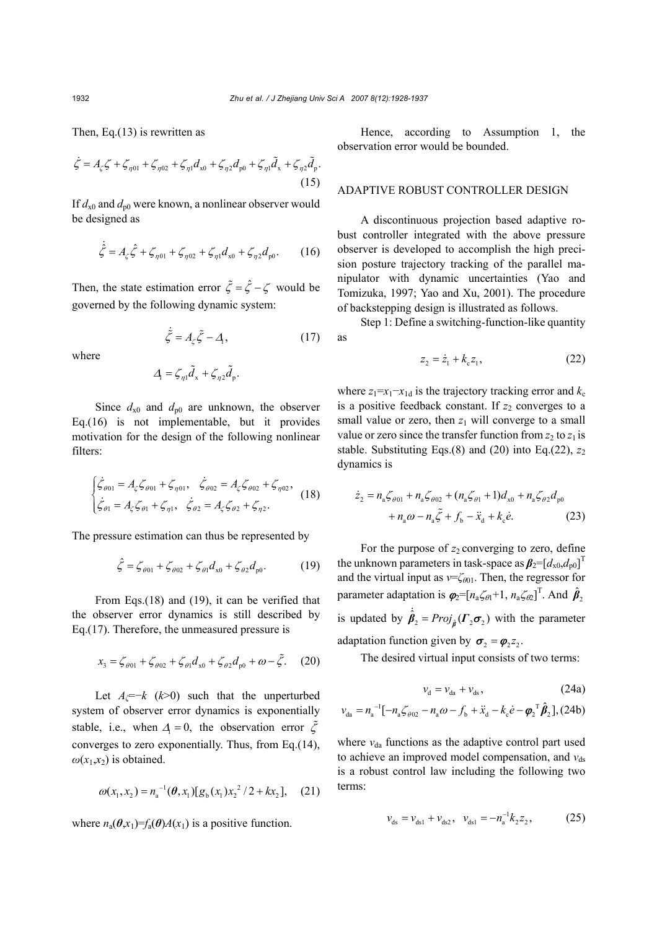Then, Eq.(13) is rewritten as

$$
\dot{\zeta} = A_{\zeta}\zeta + \zeta_{\eta 01} + \zeta_{\eta 02} + \zeta_{\eta 1}d_{x0} + \zeta_{\eta 2}d_{p0} + \zeta_{\eta 1}\tilde{d}_{x} + \zeta_{\eta 2}\tilde{d}_{p}.
$$
\n(15)

If  $d_{x0}$  and  $d_{p0}$  were known, a nonlinear observer would be designed as

$$
\dot{\hat{\zeta}} = A_{\zeta} \hat{\zeta} + \zeta_{\eta 01} + \zeta_{\eta 02} + \zeta_{\eta 1} d_{x0} + \zeta_{\eta 2} d_{p0}.
$$
 (16)

Then, the state estimation error  $\tilde{\zeta} = \hat{\zeta} - \zeta$  would be governed by the following dynamic system:

$$
\dot{\tilde{\zeta}} = A_{\zeta}\tilde{\zeta} - A_{1},\qquad(17)
$$

where

$$
\Delta_{\rm l} = \zeta_{\eta 1} \tilde{d}_{\rm x} + \zeta_{\eta 2} \tilde{d}_{\rm p}.
$$

Since  $d_{x0}$  and  $d_{p0}$  are unknown, the observer Eq.(16) is not implementable, but it provides motivation for the design of the following nonlinear filters:

$$
\begin{cases}\n\dot{\zeta}_{\theta 01} = A_{\zeta} \zeta_{\theta 01} + \zeta_{\eta 01}, & \dot{\zeta}_{\theta 02} = A_{\zeta} \zeta_{\theta 02} + \zeta_{\eta 02}, \\
\dot{\zeta}_{\theta 1} = A_{\zeta} \zeta_{\theta 1} + \zeta_{\eta 1}, & \dot{\zeta}_{\theta 2} = A_{\zeta} \zeta_{\theta 2} + \zeta_{\eta 2}.\n\end{cases}
$$
\n(18)

The pressure estimation can thus be represented by

$$
\hat{\zeta} = \zeta_{\theta 01} + \zeta_{\theta 02} + \zeta_{\theta 1} d_{x0} + \zeta_{\theta 2} d_{p0}. \tag{19}
$$

From Eqs.(18) and (19), it can be verified that the observer error dynamics is still described by Eq.(17). Therefore, the unmeasured pressure is

$$
x_3 = \zeta_{\theta 01} + \zeta_{\theta 02} + \zeta_{\theta 1} d_{x0} + \zeta_{\theta 2} d_{p0} + \omega - \tilde{\zeta}.
$$
 (20)

Let  $A_\ell = -k$  ( $k > 0$ ) such that the unperturbed system of observer error dynamics is exponentially stable, i.e., when  $\Delta_1 = 0$ , the observation error  $\tilde{\zeta}$ converges to zero exponentially. Thus, from Eq.(14),  $\omega(x_1,x_2)$  is obtained.

$$
\omega(x_1, x_2) = n_a^{-1}(\boldsymbol{\theta}, x_1)[g_b(x_1)x_2^2/2 + kx_2], \quad (21)
$$

where  $n_a(\theta, x_1) = f_a(\theta)A(x_1)$  is a positive function.

Hence, according to Assumption 1, the observation error would be bounded.

# ADAPTIVE ROBUST CONTROLLER DESIGN

A discontinuous projection based adaptive robust controller integrated with the above pressure observer is developed to accomplish the high precision posture trajectory tracking of the parallel manipulator with dynamic uncertainties (Yao and Tomizuka, 1997; Yao and Xu, 2001). The procedure of backstepping design is illustrated as follows.

Step 1: Define a switching-function-like quantity as

$$
z_2 = \dot{z}_1 + k_c z_1, \tag{22}
$$

where  $z_1=x_1-x_{1d}$  is the trajectory tracking error and  $k_c$ is a positive feedback constant. If  $z_2$  converges to a small value or zero, then  $z_1$  will converge to a small value or zero since the transfer function from  $z_2$  to  $z_1$  is stable. Substituting Eqs.(8) and (20) into Eq.(22), *z*<sup>2</sup> dynamics is

$$
\dot{z}_2 = n_a \zeta_{\theta 01} + n_a \zeta_{\theta 02} + (n_a \zeta_{\theta 1} + 1) d_{x0} + n_a \zeta_{\theta 2} d_{p0} + n_a \omega - n_a \tilde{\zeta} + f_b - \ddot{x}_d + k_c \dot{e}.
$$
 (23)

For the purpose of  $z_2$  converging to zero, define the unknown parameters in task-space as  $\beta_2 = [d_{x0}, d_{p0}]^T$ and the virtual input as *ν*=ζ<sub>θ01</sub>. Then, the regressor for parameter adaptation is  $\boldsymbol{\varphi}_2 = [n_a \zeta_{\theta 1} + 1, n_a \zeta_{\theta 2}]^\text{T}$ . And  $\hat{\boldsymbol{\beta}}_2$ 

is updated by  $\hat{\beta}_2 = Proj_{\hat{\beta}}(\Gamma_2 \sigma_2)$  with the parameter adaptation function given by  $\sigma_2 = \varphi_2 z_2$ .

The desired virtual input consists of two terms:

$$
v_{\rm d} = v_{\rm da} + v_{\rm ds},\tag{24a}
$$

$$
v_{da} = n_a^{-1}[-n_a \zeta_{\theta 02} - n_a \omega - f_b + \ddot{x}_d - k_c \dot{e} - \boldsymbol{\varphi}_2^{\mathrm{T}} \hat{\boldsymbol{\beta}}_2], (24b)
$$

where  $v_{da}$  functions as the adaptive control part used to achieve an improved model compensation, and  $v_{ds}$ is a robust control law including the following two terms:

$$
v_{ds} = v_{ds1} + v_{ds2}, \quad v_{ds1} = -n_a^{-1} k_2 z_2, \tag{25}
$$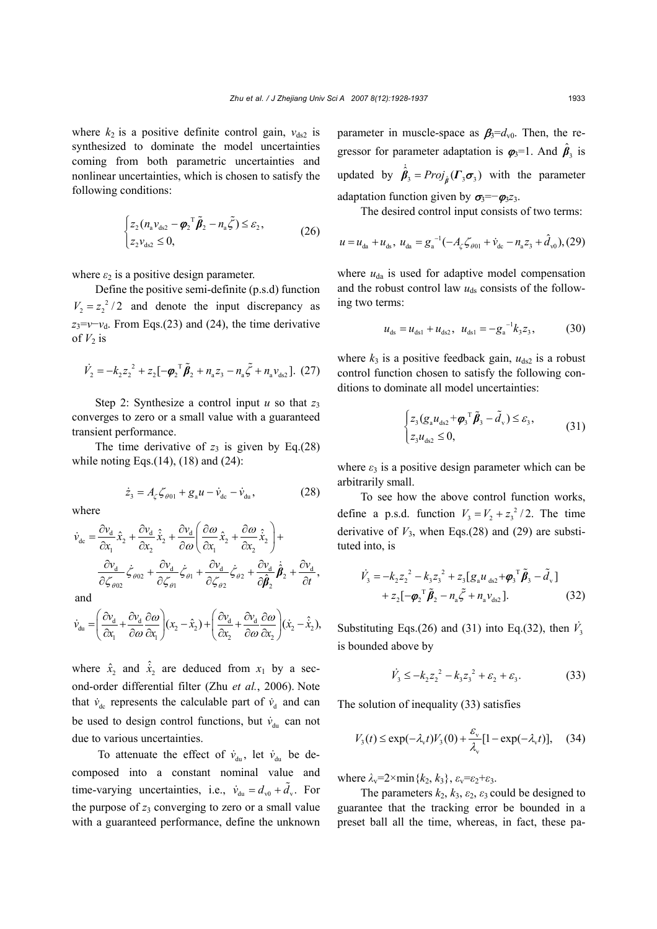where  $k_2$  is a positive definite control gain,  $v_{ds2}$  is synthesized to dominate the model uncertainties coming from both parametric uncertainties and nonlinear uncertainties, which is chosen to satisfy the following conditions:

$$
\begin{cases} z_2(n_{\rm a}\mathbf{v}_{\rm ds2}-\boldsymbol{\varphi}_2^{\rm T}\tilde{\boldsymbol{\beta}}_2-n_{\rm a}\tilde{\zeta})\leq\varepsilon_2, \\ z_2\mathbf{v}_{\rm ds2}\leq 0, \end{cases} \tag{26}
$$

where  $\varepsilon_2$  is a positive design parameter.

Define the positive semi-definite (p.s.d) function  $V_2 = z_2^2/2$  and denote the input discrepancy as  $z_3 = v - v_d$ . From Eqs.(23) and (24), the time derivative of  $V_2$  is

$$
\dot{V}_2 = -k_2 z_2^2 + z_2 [-\phi_2^T \tilde{\beta}_2 + n_a z_3 - n_a \tilde{\zeta} + n_a v_{ds2}].
$$
 (27)

Step 2: Synthesize a control input  $u$  so that  $z_3$ converges to zero or a small value with a guaranteed transient performance.

The time derivative of  $z_3$  is given by Eq.(28) while noting Eqs. $(14)$ ,  $(18)$  and  $(24)$ :

$$
\dot{z}_3 = A_{\zeta} \zeta_{\theta 01} + g_{\rm a} u - \dot{v}_{\rm dc} - \dot{v}_{\rm du}, \qquad (28)
$$

where

$$
\dot{v}_{dc} = \frac{\partial v_d}{\partial x_1} \hat{x}_2 + \frac{\partial v_d}{\partial x_2} \hat{x}_2 + \frac{\partial v_d}{\partial \omega} \left( \frac{\partial \omega}{\partial x_1} \hat{x}_2 + \frac{\partial \omega}{\partial x_2} \hat{x}_2 \right) +
$$
\n
$$
\frac{\partial v_d}{\partial \zeta_{\theta 02}} \dot{\zeta}_{\theta 02} + \frac{\partial v_d}{\partial \zeta_{\theta 1}} \dot{\zeta}_{\theta 1} + \frac{\partial v_d}{\partial \zeta_{\theta 2}} \dot{\zeta}_{\theta 2} + \frac{\partial v_d}{\partial \hat{\beta}_2} \hat{\beta}_2 + \frac{\partial v_d}{\partial t},
$$

and

$$
\dot{\nu}_{du} = \left(\frac{\partial v_d}{\partial x_1} + \frac{\partial v_d}{\partial \omega} \frac{\partial \omega}{\partial x_1}\right) (x_2 - \hat{x}_2) + \left(\frac{\partial v_d}{\partial x_2} + \frac{\partial v_d}{\partial \omega} \frac{\partial \omega}{\partial x_2}\right) (\hat{x}_2 - \hat{\hat{x}}_2),
$$

where  $\hat{x}_2$  and  $\hat{x}_2$  are deduced from  $x_1$  by a second-order differential filter (Zhu *et al.*, 2006). Note that  $\dot{v}_{dc}$  represents the calculable part of  $\dot{v}_d$  and can be used to design control functions, but  $\dot{v}_{du}$  can not due to various uncertainties.

To attenuate the effect of  $\dot{v}_{du}$ , let  $\dot{v}_{du}$  be decomposed into a constant nominal value and time-varying uncertainties, i.e.,  $\dot{v}_{du} = d_{v0} + \ddot{d}_{v}$ . For the purpose of  $z_3$  converging to zero or a small value with a guaranteed performance, define the unknown parameter in muscle-space as  $\beta_3 = d_{v0}$ . Then, the regressor for parameter adaptation is  $\boldsymbol{\varphi}_3 = 1$ . And  $\hat{\boldsymbol{\beta}}_3$  is updated by  $\hat{\beta}_3 = Proj_{\hat{B}}(\Gamma_3 \sigma_3)$  with the parameter adaptation function given by  $\sigma_3 = -\varphi_3 z_3$ .

The desired control input consists of two terms:

$$
u = u_{da} + u_{ds}, \ u_{da} = g_a^{-1}(-A_\zeta \zeta_{\theta 01} + \dot{v}_{dc} - n_a z_3 + \hat{d}_{v0}), (29)
$$

where  $u_{da}$  is used for adaptive model compensation and the robust control law  $u_{ds}$  consists of the following two terms:

$$
u_{ds} = u_{ds1} + u_{ds2}, \ \ u_{ds1} = -g_a^{-1} k_3 z_3, \tag{30}
$$

where  $k_3$  is a positive feedback gain,  $u_{ds2}$  is a robust control function chosen to satisfy the following conditions to dominate all model uncertainties:

$$
\begin{cases} z_3(g_a u_{ds2} + \boldsymbol{\varphi}_3^\top \tilde{\boldsymbol{\beta}}_3 - \tilde{d}_v) \le \varepsilon_3, \\ z_3 u_{ds2} \le 0, \end{cases} \tag{31}
$$

where  $\varepsilon_3$  is a positive design parameter which can be arbitrarily small.

To see how the above control function works, define a p.s.d. function  $V_3 = V_2 + z_3^2/2$ . The time derivative of  $V_3$ , when Eqs.(28) and (29) are substituted into, is

$$
\dot{V}_3 = -k_2 z_2^2 - k_3 z_3^2 + z_3 [g_a u_{ds2} + \boldsymbol{\varphi}_3^T \tilde{\boldsymbol{\beta}}_3 - \tilde{d}_v] + z_2 [-\boldsymbol{\varphi}_2^T \tilde{\boldsymbol{\beta}}_2 - n_a \tilde{\zeta} + n_a v_{ds2}].
$$
\n(32)

Substituting Eqs.(26) and (31) into Eq.(32), then  $\dot{V}_3$ is bounded above by

$$
\dot{V}_3 \le -k_2 z_2^2 - k_3 z_3^2 + \varepsilon_2 + \varepsilon_3. \tag{33}
$$

The solution of inequality (33) satisfies

$$
V_3(t) \le \exp(-\lambda_v t) V_3(0) + \frac{\varepsilon_v}{\lambda_v} [1 - \exp(-\lambda_v t)], \quad (34)
$$

where  $\lambda_v = 2 \times \min\{k_2, k_3\}$ ,  $\varepsilon_v = \varepsilon_2 + \varepsilon_3$ .

The parameters  $k_2$ ,  $k_3$ ,  $\varepsilon_2$ ,  $\varepsilon_3$  could be designed to guarantee that the tracking error be bounded in a preset ball all the time, whereas, in fact, these pa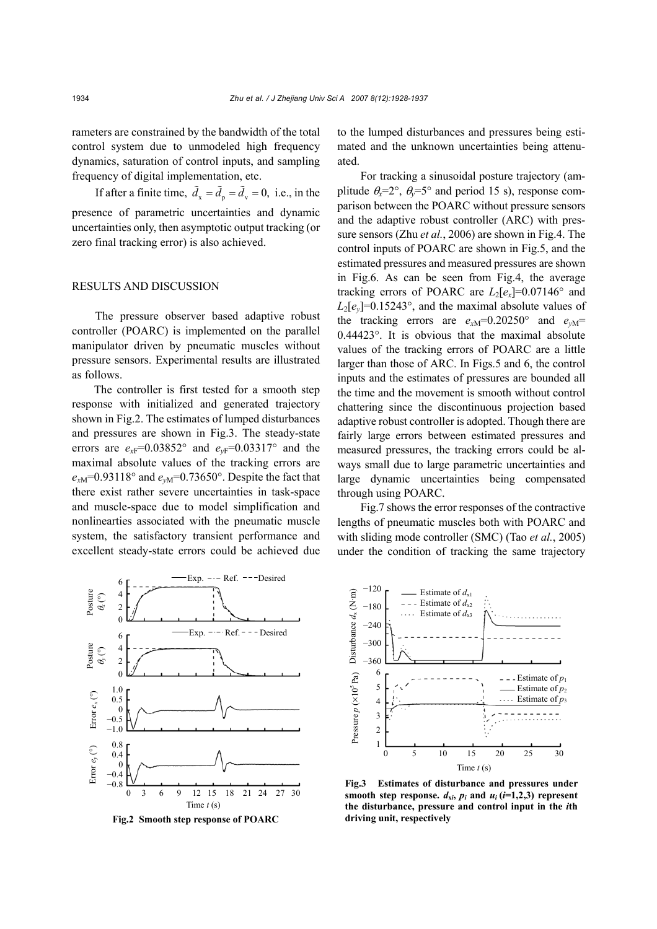rameters are constrained by the bandwidth of the total control system due to unmodeled high frequency dynamics, saturation of control inputs, and sampling frequency of digital implementation, etc.

If after a finite time,  $\tilde{d}_x = \tilde{d}_y = \tilde{d}_y = 0$ , i.e., in the presence of parametric uncertainties and dynamic uncertainties only, then asymptotic output tracking (or zero final tracking error) is also achieved.

## RESULTS AND DISCUSSION

The pressure observer based adaptive robust controller (POARC) is implemented on the parallel manipulator driven by pneumatic muscles without pressure sensors. Experimental results are illustrated as follows.

The controller is first tested for a smooth step response with initialized and generated trajectory shown in Fig.2. The estimates of lumped disturbances and pressures are shown in Fig.3. The steady-state errors are  $e_{xF}$ =0.03852° and  $e_{yF}$ =0.03317° and the maximal absolute values of the tracking errors are  $e_{xM}$ =0.93118° and  $e_{vM}$ =0.73650°. Despite the fact that there exist rather severe uncertainties in task-space and muscle-space due to model simplification and nonlinearties associated with the pneumatic muscle system, the satisfactory transient performance and excellent steady-state errors could be achieved due

Exp.  $-\cdot$  - Ref.  $-\cdot$  - Desired 6 Posture θ*x* (°) 4  $\overline{\mathcal{L}}$ 0 Exp.  $-\cdots$  Ref. - - - Desired 6 Posture θ*y* (°) 4 2  $\overline{0}$ 1.0 Error  $e_y$  (°) Error  $e_x$  (°) Error $e_x$  (°) 0.5  $\mathcal{C}_{\mathcal{C}}$  $-0.5$ −1.0 0.8  $2 \text{rot } e_v$  (°) 0.4  $\overline{0}$  $-0.4$ −0.8 0 3 6 9 12 15 18 21 24 27 30 Time *t* (s)

**Fig.2 Smooth step response of POARC** 

to the lumped disturbances and pressures being estimated and the unknown uncertainties being attenuated.

For tracking a sinusoidal posture trajectory (amplitude  $\theta_r = 2^\circ$ ,  $\theta_r = 5^\circ$  and period 15 s), response comparison between the POARC without pressure sensors and the adaptive robust controller (ARC) with pressure sensors (Zhu *et al.*, 2006) are shown in Fig.4. The control inputs of POARC are shown in Fig.5, and the estimated pressures and measured pressures are shown in Fig.6. As can be seen from Fig.4, the average tracking errors of POARC are  $L_2[e_x] = 0.07146^\circ$  and  $L_2[e_v] = 0.15243^\circ$ , and the maximal absolute values of the tracking errors are  $e_{xM}$ =0.20250° and  $e_{yM}$ = 0.44423°. It is obvious that the maximal absolute values of the tracking errors of POARC are a little larger than those of ARC. In Figs.5 and 6, the control inputs and the estimates of pressures are bounded all the time and the movement is smooth without control chattering since the discontinuous projection based adaptive robust controller is adopted. Though there are fairly large errors between estimated pressures and measured pressures, the tracking errors could be always small due to large parametric uncertainties and large dynamic uncertainties being compensated through using POARC.

Fig.7 shows the error responses of the contractive lengths of pneumatic muscles both with POARC and with sliding mode controller (SMC) (Tao *et al.*, 2005) under the condition of tracking the same trajectory

> Estimate of  $d_{21}$ Estimate of  $d_{x2}$ Estimate of  $d_{x3}$

 $\begin{bmatrix} \hat{E} & -120 \\ \hat{E} & -180 \\ \hat{S} & -240 \\ \hat{E} & -300 \\ \hat{E} & -360 \end{bmatrix}$ −180 −240 −300 −360

Pressure

Pressure  $p ( \times 10^5$  Pa)



Estimate of  $p_1$ Estimate of  $p_2$ Estimate of  $p_3$ 

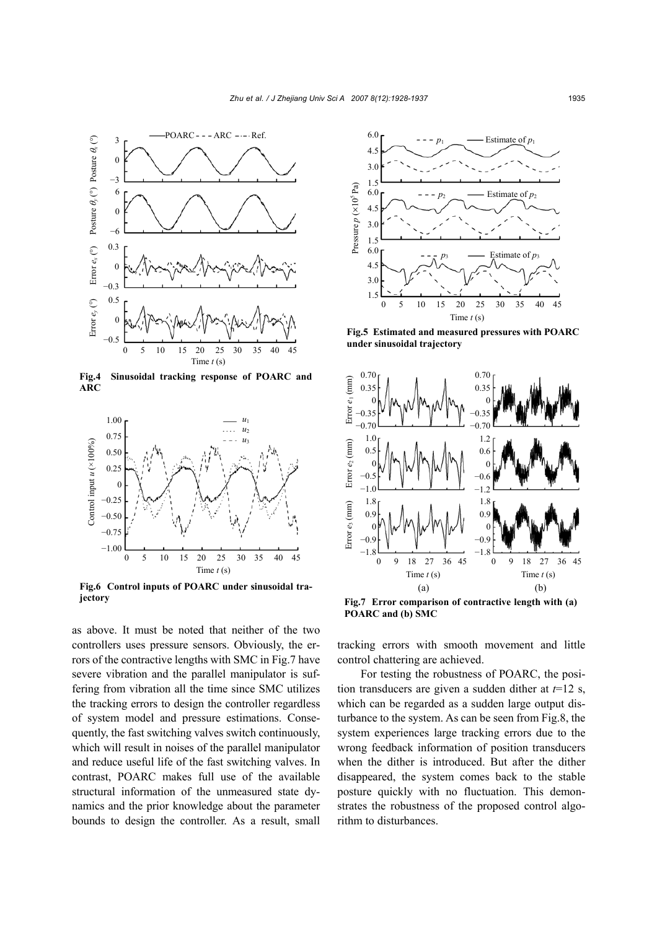

**Fig.4 Sinusoidal tracking response of POARC and** 



**Fig.6 Control inputs of POARC under sinusoidal trajectory** 

as above. It must be noted that neither of the two controllers uses pressure sensors. Obviously, the errors of the contractive lengths with SMC in Fig.7 have severe vibration and the parallel manipulator is suffering from vibration all the time since SMC utilizes the tracking errors to design the controller regardless of system model and pressure estimations. Consequently, the fast switching valves switch continuously, which will result in noises of the parallel manipulator and reduce useful life of the fast switching valves. In contrast, POARC makes full use of the available structural information of the unmeasured state dynamics and the prior knowledge about the parameter bounds to design the controller. As a result, small



**Fig.5 Estimated and measured pressures with POARC under sinusoidal trajectory** 



**Fig.7 Error comparison of contractive length with (a) POARC and (b) SMC** 

tracking errors with smooth movement and little control chattering are achieved.

For testing the robustness of POARC, the position transducers are given a sudden dither at  $t=12$  s, which can be regarded as a sudden large output disturbance to the system. As can be seen from Fig.8, the system experiences large tracking errors due to the wrong feedback information of position transducers when the dither is introduced. But after the dither disappeared, the system comes back to the stable posture quickly with no fluctuation. This demonstrates the robustness of the proposed control algorithm to disturbances.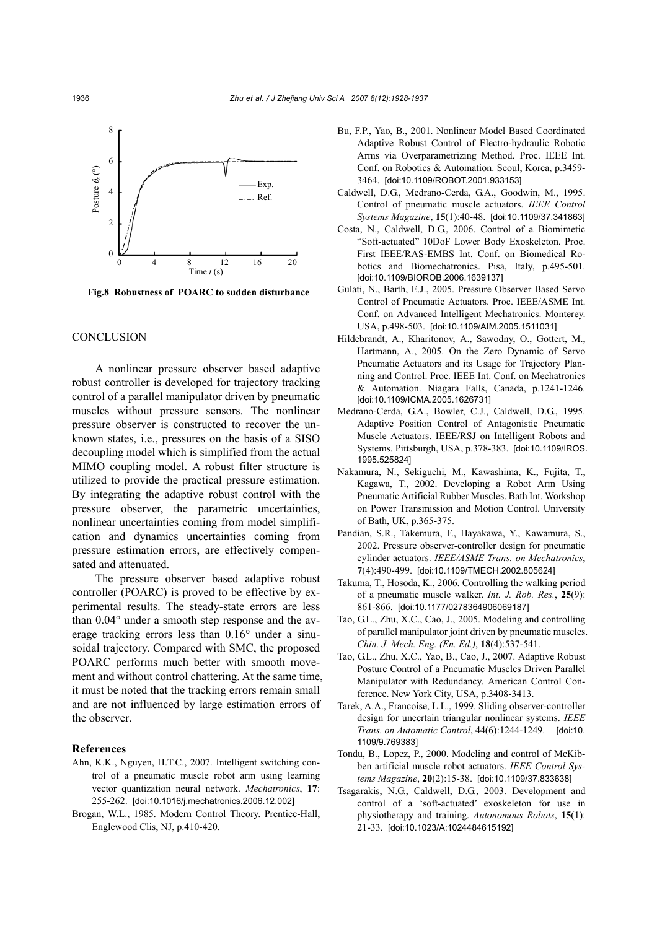

**Fig.8 Robustness of POARC to sudden disturbance**

#### **CONCLUSION**

A nonlinear pressure observer based adaptive robust controller is developed for trajectory tracking control of a parallel manipulator driven by pneumatic muscles without pressure sensors. The nonlinear pressure observer is constructed to recover the unknown states, i.e., pressures on the basis of a SISO decoupling model which is simplified from the actual MIMO coupling model. A robust filter structure is utilized to provide the practical pressure estimation. By integrating the adaptive robust control with the pressure observer, the parametric uncertainties, nonlinear uncertainties coming from model simplification and dynamics uncertainties coming from pressure estimation errors, are effectively compensated and attenuated.

The pressure observer based adaptive robust controller (POARC) is proved to be effective by experimental results. The steady-state errors are less than 0.04° under a smooth step response and the average tracking errors less than 0.16° under a sinusoidal trajectory. Compared with SMC, the proposed POARC performs much better with smooth movement and without control chattering. At the same time, it must be noted that the tracking errors remain small and are not influenced by large estimation errors of the observer.

### **References**

- Ahn, K.K., Nguyen, H.T.C., 2007. Intelligent switching control of a pneumatic muscle robot arm using learning vector quantization neural network. *Mechatronics*, **17**: 255-262. [doi:10.1016/j.mechatronics.2006.12.002]
- Brogan, W.L., 1985. Modern Control Theory. Prentice-Hall, Englewood Clis, NJ, p.410-420.
- Bu, F.P., Yao, B., 2001. Nonlinear Model Based Coordinated Adaptive Robust Control of Electro-hydraulic Robotic Arms via Overparametrizing Method. Proc. IEEE Int. Conf. on Robotics & Automation. Seoul, Korea, p.3459- 3464. [doi:10.1109/ROBOT.2001.933153]
- Caldwell, D.G., Medrano-Cerda, G.A., Goodwin, M., 1995. Control of pneumatic muscle actuators. *IEEE Control Systems Magazine*, **15**(1):40-48. [doi:10.1109/37.341863]
- Costa, N., Caldwell, D.G., 2006. Control of a Biomimetic "Soft-actuated" 10DoF Lower Body Exoskeleton. Proc. First IEEE/RAS-EMBS Int. Conf. on Biomedical Robotics and Biomechatronics. Pisa, Italy, p.495-501. [doi:10.1109/BIOROB.2006.1639137]
- Gulati, N., Barth, E.J., 2005. Pressure Observer Based Servo Control of Pneumatic Actuators. Proc. IEEE/ASME Int. Conf. on Advanced Intelligent Mechatronics. Monterey. USA, p.498-503. [doi:10.1109/AIM.2005.1511031]
- Hildebrandt, A., Kharitonov, A., Sawodny, O., Gottert, M., Hartmann, A., 2005. On the Zero Dynamic of Servo Pneumatic Actuators and its Usage for Trajectory Planning and Control. Proc. IEEE Int. Conf. on Mechatronics & Automation. Niagara Falls, Canada, p.1241-1246. [doi:10.1109/ICMA.2005.1626731]
- Medrano-Cerda, G.A., Bowler, C.J., Caldwell, D.G., 1995. Adaptive Position Control of Antagonistic Pneumatic Muscle Actuators. IEEE/RSJ on Intelligent Robots and Systems. Pittsburgh, USA, p.378-383. [doi:10.1109/IROS. 1995.525824]
- Nakamura, N., Sekiguchi, M., Kawashima, K., Fujita, T., Kagawa, T., 2002. Developing a Robot Arm Using Pneumatic Artificial Rubber Muscles. Bath Int. Workshop on Power Transmission and Motion Control. University of Bath, UK, p.365-375.
- Pandian, S.R., Takemura, F., Hayakawa, Y., Kawamura, S., 2002. Pressure observer-controller design for pneumatic cylinder actuators. *IEEE/ASME Trans. on Mechatronics*, **7**(4):490-499. [doi:10.1109/TMECH.2002.805624]
- Takuma, T., Hosoda, K., 2006. Controlling the walking period of a pneumatic muscle walker. *Int. J. Rob. Res.*, **25**(9): 861-866. [doi:10.1177/0278364906069187]
- Tao, G.L., Zhu, X.C., Cao, J., 2005. Modeling and controlling of parallel manipulator joint driven by pneumatic muscles. *Chin. J. Mech. Eng. (En. Ed.)*, **18**(4):537-541.
- Tao, G.L., Zhu, X.C., Yao, B., Cao, J., 2007. Adaptive Robust Posture Control of a Pneumatic Muscles Driven Parallel Manipulator with Redundancy. American Control Conference. New York City, USA, p.3408-3413.
- Tarek, A.A., Francoise, L.L., 1999. Sliding observer-controller design for uncertain triangular nonlinear systems. *IEEE Trans. on Automatic Control*, **44**(6):1244-1249. [doi:10. 1109/9.769383]
- Tondu, B., Lopez, P., 2000. Modeling and control of McKibben artificial muscle robot actuators. *IEEE Control Systems Magazine*, **20**(2):15-38. [doi:10.1109/37.833638]
- Tsagarakis, N.G., Caldwell, D.G., 2003. Development and control of a 'soft-actuated' exoskeleton for use in physiotherapy and training. *Autonomous Robots*, **15**(1): 21-33. [doi:10.1023/A:1024484615192]